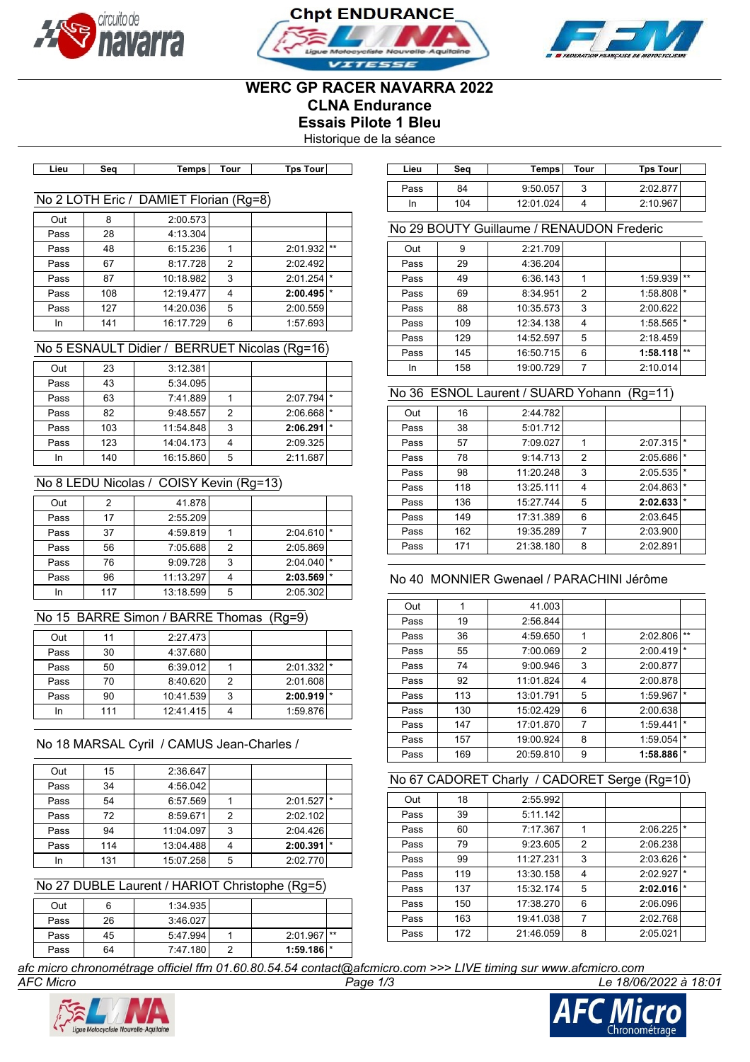





# **WERC GP RACER NAVARRA 2022 CLNA Endurance Essais Pilote 1 Bleu**

Historique de la séance

| ∟ie∪ | Sec | Temps | our ّ | ⊺our<br>Гps | Lieu | Sec | ⊺emps | . our | <b>Tos</b><br>⊺our |
|------|-----|-------|-------|-------------|------|-----|-------|-------|--------------------|

# No 2 LOTH Eric / DAMIET Florian (Rg=8)

| Out  | 8   | 2:00.573  |   |               |  |
|------|-----|-----------|---|---------------|--|
| Pass | 28  | 4:13.304  |   |               |  |
| Pass | 48  | 6:15.236  |   | $2:01.932$ ** |  |
| Pass | 67  | 8:17.728  | 2 | 2:02.492      |  |
| Pass | 87  | 10:18.982 | 3 | 2:01.254      |  |
| Pass | 108 | 12:19.477 |   | 2:00.495      |  |
| Pass | 127 | 14:20.036 | 5 | 2:00.559      |  |
| In   | 141 | 16:17.729 | 6 | 1:57.693      |  |

# No 5 ESNAULT Didier / BERRUET Nicolas (Rg=16)

| Out  | 23  | 3:12.381  |   |          |         |
|------|-----|-----------|---|----------|---------|
| Pass | 43  | 5:34.095  |   |          |         |
| Pass | 63  | 7:41.889  |   | 2:07.794 |         |
| Pass | 82  | 9:48.557  | 2 | 2:06.668 |         |
| Pass | 103 | 11:54.848 | 3 | 2:06.291 | $\star$ |
| Pass | 123 | 14:04.173 |   | 2:09.325 |         |
| In   | 140 | 16:15.860 | 5 | 2:11.687 |         |

# No 8 LEDU Nicolas / COISY Kevin (Rg=13)

| Out  |     | 41.878    |   |          |  |
|------|-----|-----------|---|----------|--|
| Pass | 17  | 2:55.209  |   |          |  |
| Pass | 37  | 4:59.819  |   | 2:04.610 |  |
| Pass | 56  | 7:05.688  | 2 | 2:05.869 |  |
| Pass | 76  | 9:09.728  | 3 | 2:04.040 |  |
| Pass | 96  | 11:13.297 |   | 2:03.569 |  |
| In   | 117 | 13:18.599 | 5 | 2:05.302 |  |

# No 15 BARRE Simon / BARRE Thomas (Rg=9)

| Out  | 11  | 2:27.473  |   |                         |  |
|------|-----|-----------|---|-------------------------|--|
| Pass | 30  | 4:37.680  |   |                         |  |
| Pass | 50  | 6:39.012  |   | $2:01.332$ <sup>*</sup> |  |
| Pass | 70  | 8:40.620  | 2 | 2:01.608                |  |
| Pass | 90  | 10:41.539 | 3 | 2:00.919                |  |
| In   | 111 | 12:41.415 |   | 1:59.876                |  |
|      |     |           |   |                         |  |

# No 18 MARSAL Cyril / CAMUS Jean-Charles /

| Out  | 15  | 2:36.647  |   |          |     |
|------|-----|-----------|---|----------|-----|
| Pass | 34  | 4:56.042  |   |          |     |
| Pass | 54  | 6:57.569  |   | 2:01.527 | l * |
| Pass | 72  | 8:59.671  | 2 | 2:02.102 |     |
| Pass | 94  | 11:04.097 | 3 | 2:04.426 |     |
| Pass | 114 | 13:04.488 |   | 2:00.391 |     |
| In   | 131 | 15:07.258 | 5 | 2:02.770 |     |

#### No 27 DUBLE Laurent / HARIOT Christophe (Rg=5)

| Out  | ь  | 1:34.935 |                         |  |
|------|----|----------|-------------------------|--|
| Pass | 26 | 3:46.027 |                         |  |
| Pass | 45 | 5:47.994 | $2:01.967$ **           |  |
| Pass | 64 | 7:47.180 | $1:59.186$ <sup>*</sup> |  |

| Lieu | Sea | Temps     | Tour | <b>Tps Tourl</b> |
|------|-----|-----------|------|------------------|
| Pass | 84  | 9:50.057  | J    | 2:02.877         |
| In   | 104 | 12:01.024 |      | 2:10.967         |

# No 29 BOUTY Guillaume / RENAUDON Frederic

| Out  | 9   | 2:21.709  |   |                         |       |
|------|-----|-----------|---|-------------------------|-------|
| Pass | 29  | 4:36.204  |   |                         |       |
| Pass | 49  | 6:36.143  |   | 1:59.939                | $***$ |
| Pass | 69  | 8:34.951  | 2 | 1:58.808                |       |
| Pass | 88  | 10:35.573 | 3 | 2:00.622                |       |
| Pass | 109 | 12:34.138 | 4 | $1:58.565$ <sup>*</sup> |       |
| Pass | 129 | 14:52.597 | 5 | 2:18.459                |       |
| Pass | 145 | 16:50.715 | 6 | 1:58.118                | $**$  |
| In   | 158 | 19:00.729 |   | 2:10.014                |       |

# No 36 ESNOL Laurent / SUARD Yohann (Rg=11)

| Out  | 16  | 2:44.782  |   |          |         |
|------|-----|-----------|---|----------|---------|
| Pass | 38  | 5:01.712  |   |          |         |
| Pass | 57  | 7:09.027  | 1 | 2:07.315 | $\star$ |
| Pass | 78  | 9:14.713  | 2 | 2:05.686 | $\star$ |
| Pass | 98  | 11:20.248 | 3 | 2:05.535 | $\star$ |
| Pass | 118 | 13:25.111 | 4 | 2:04.863 | $\star$ |
| Pass | 136 | 15:27.744 | 5 | 2:02.633 | $\star$ |
| Pass | 149 | 17:31.389 | 6 | 2:03.645 |         |
| Pass | 162 | 19:35.289 | 7 | 2:03.900 |         |
| Pass | 171 | 21:38.180 | 8 | 2:02.891 |         |

# No 40 MONNIER Gwenael / PARACHINI Jérôme

| Out  |     | 41.003    |   |          |         |
|------|-----|-----------|---|----------|---------|
| Pass | 19  | 2:56.844  |   |          |         |
| Pass | 36  | 4:59.650  | 1 | 2:02.806 | $***$   |
| Pass | 55  | 7:00.069  | 2 | 2:00.419 | $\star$ |
| Pass | 74  | 9:00.946  | 3 | 2:00.877 |         |
| Pass | 92  | 11:01.824 | 4 | 2:00.878 |         |
| Pass | 113 | 13:01.791 | 5 | 1:59.967 | $\star$ |
| Pass | 130 | 15:02.429 | 6 | 2:00.638 |         |
| Pass | 147 | 17:01.870 | 7 | 1:59.441 | $\star$ |
| Pass | 157 | 19:00.924 | 8 | 1:59.054 | $\star$ |
| Pass | 169 | 20:59.810 | 9 | 1:58.886 | $\star$ |

# No 67 CADORET Charly / CADORET Serge (Rg=10)

| Out  | 18  | 2:55.992  |   |          |         |
|------|-----|-----------|---|----------|---------|
| Pass | 39  | 5:11.142  |   |          |         |
| Pass | 60  | 7:17.367  | 1 | 2:06.225 |         |
| Pass | 79  | 9:23.605  | 2 | 2:06.238 |         |
| Pass | 99  | 11:27.231 | 3 | 2:03.626 | $\star$ |
| Pass | 119 | 13:30.158 | 4 | 2:02.927 | $\star$ |
| Pass | 137 | 15:32.174 | 5 | 2:02.016 |         |
| Pass | 150 | 17:38.270 | 6 | 2:06.096 |         |
| Pass | 163 | 19:41.038 | 7 | 2:02.768 |         |
| Pass | 172 | 21:46.059 | 8 | 2:05.021 |         |

*afc micro chronométrage officiel ffm 01.60.80.54.54 contact@afcmicro.com >>> LIVE timing sur www.afcmicro.com*



*AFC Micro Page 1/3 Le 18/06/2022 à 18:01*

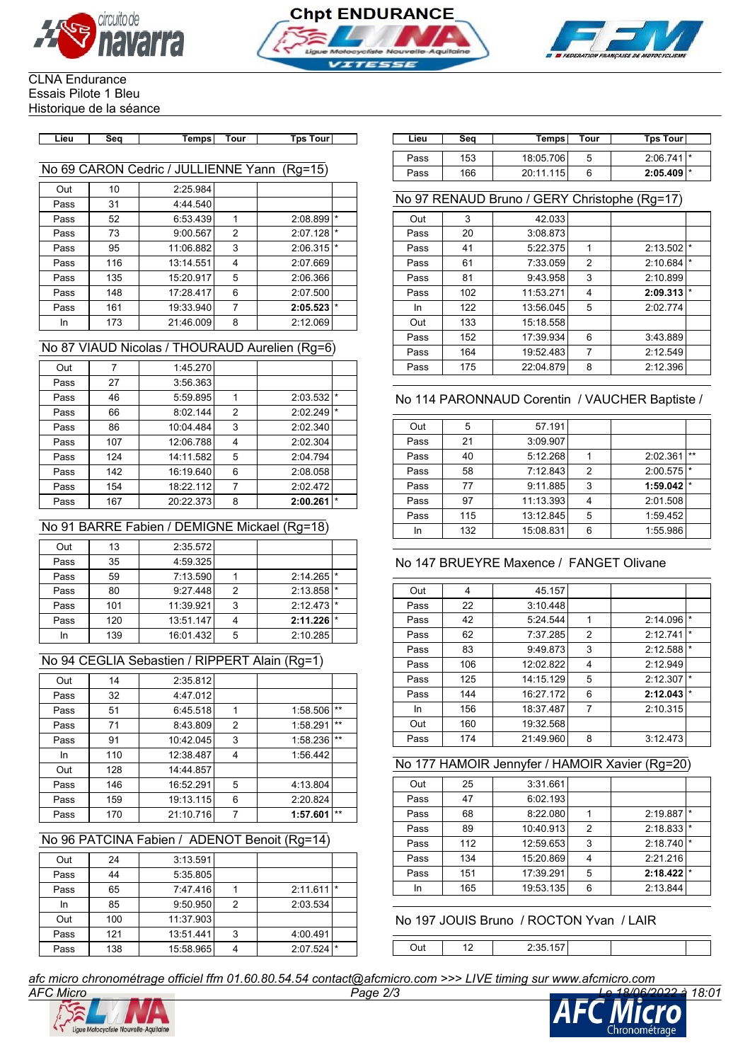





#### CLNA Endurance Essais Pilote 1 Bleu Historique de la séance

| Lieu. | Seo | <b>rour</b><br>emps | rour<br>Tos | Lieu | <br>- 26. | Tour<br><b>Temps</b> | Гps<br>. our |
|-------|-----|---------------------|-------------|------|-----------|----------------------|--------------|
|       |     |                     |             |      |           |                      |              |

# No 69 CARON Cedric / JULLIENNE Yann (Rg=15)

| Out  | 10  | 2:25.984  |   |          |         |
|------|-----|-----------|---|----------|---------|
| Pass | 31  | 4:44.540  |   |          |         |
| Pass | 52  | 6:53.439  |   | 2:08.899 | $\star$ |
| Pass | 73  | 9:00.567  | 2 | 2:07.128 | $\star$ |
| Pass | 95  | 11:06.882 | 3 | 2:06.315 | $\star$ |
| Pass | 116 | 13:14.551 | 4 | 2:07.669 |         |
| Pass | 135 | 15:20.917 | 5 | 2:06.366 |         |
| Pass | 148 | 17:28.417 | 6 | 2:07.500 |         |
| Pass | 161 | 19:33.940 |   | 2:05.523 | $\star$ |
| In   | 173 | 21:46.009 | 8 | 2:12.069 |         |

# No 87 VIAUD Nicolas / THOURAUD Aurelien (Rg=6)

| Out  |     | 1:45.270  |   |          |         |
|------|-----|-----------|---|----------|---------|
| Pass | 27  | 3:56.363  |   |          |         |
| Pass | 46  | 5:59.895  | 1 | 2:03.532 | $\star$ |
| Pass | 66  | 8:02.144  | 2 | 2:02.249 | $\star$ |
| Pass | 86  | 10:04.484 | 3 | 2:02.340 |         |
| Pass | 107 | 12:06.788 | 4 | 2:02.304 |         |
| Pass | 124 | 14:11.582 | 5 | 2:04.794 |         |
| Pass | 142 | 16:19.640 | 6 | 2:08.058 |         |
| Pass | 154 | 18:22.112 | 7 | 2:02.472 |         |
| Pass | 167 | 20:22.373 | 8 | 2:00.261 | $\star$ |
|      |     |           |   |          |         |

# No 91 BARRE Fabien / DEMIGNE Mickael (Rg=18)

| Out  | 13  | 2:35.572  |   |                         |    |
|------|-----|-----------|---|-------------------------|----|
| Pass | 35  | 4:59.325  |   |                         |    |
| Pass | 59  | 7:13.590  |   | $2:14.265$ <sup>*</sup> |    |
| Pass | 80  | 9:27.448  | 2 | 2:13.858                |    |
| Pass | 101 | 11:39.921 | 3 | $2:12.473$ *            |    |
| Pass | 120 | 13:51.147 |   | 2:11.226                | I∗ |
| In   | 139 | 16:01.432 | 5 | 2:10.285                |    |
|      |     |           |   |                         |    |

# No 94 CEGLIA Sebastien / RIPPERT Alain (Rg=1)

| Out  | 14  | 2:35.812  |   |          |       |
|------|-----|-----------|---|----------|-------|
| Pass | 32  | 4:47.012  |   |          |       |
| Pass | 51  | 6:45.518  |   | 1:58.506 | $***$ |
| Pass | 71  | 8:43.809  | 2 | 1:58.291 | $***$ |
| Pass | 91  | 10:42.045 | 3 | 1:58.236 | $***$ |
| In   | 110 | 12:38.487 | 4 | 1:56.442 |       |
| Out  | 128 | 14:44.857 |   |          |       |
| Pass | 146 | 16:52.291 | 5 | 4:13.804 |       |
| Pass | 159 | 19:13.115 | 6 | 2:20.824 |       |
| Pass | 170 | 21:10.716 | 7 | 1:57.601 | $***$ |

### No 96 PATCINA Fabien / ADENOT Benoit (Rg=14)

| Out  | 24  | 3:13.591  |   |          |         |
|------|-----|-----------|---|----------|---------|
| Pass | 44  | 5:35.805  |   |          |         |
| Pass | 65  | 7:47.416  |   | 2:11.611 | $\star$ |
| In   | 85  | 9:50.950  | 2 | 2:03.534 |         |
| Out  | 100 | 11:37.903 |   |          |         |
| Pass | 121 | 13:51.441 | 3 | 4:00.491 |         |
| Pass | 138 | 15:58.965 |   | 2:07.524 | $\star$ |

| Lieu | Sea | Tempsl    | Tour | <b>Tps Tourl</b>        |
|------|-----|-----------|------|-------------------------|
| Pass | 153 | 18:05.706 | 5    | 2:06.741                |
| Pass | 166 | 20:11.115 |      | $2:05.409$ <sup>*</sup> |

### No 97 RENAUD Bruno / GERY Christophe (Rg=17)

| Out  | 3   | 42.033    |                |          |         |
|------|-----|-----------|----------------|----------|---------|
| Pass | 20  | 3:08.873  |                |          |         |
| Pass | 41  | 5:22.375  | 1              | 2:13.502 | $\star$ |
| Pass | 61  | 7:33.059  | $\overline{2}$ | 2:10.684 | $\star$ |
| Pass | 81  | 9:43.958  | 3              | 2:10.899 |         |
| Pass | 102 | 11:53.271 | 4              | 2:09.313 | $\star$ |
| In   | 122 | 13:56.045 | 5              | 2:02.774 |         |
| Out  | 133 | 15:18.558 |                |          |         |
| Pass | 152 | 17:39.934 | 6              | 3:43.889 |         |
| Pass | 164 | 19:52.483 | 7              | 2:12.549 |         |
| Pass | 175 | 22:04.879 | 8              | 2:12.396 |         |

# No 114 PARONNAUD Corentin / VAUCHER Baptiste /

| Out  | 5   | 57.191    |                |          |         |
|------|-----|-----------|----------------|----------|---------|
| Pass | 21  | 3:09.907  |                |          |         |
| Pass | 40  | 5:12.268  |                | 2:02.361 | $***$   |
| Pass | 58  | 7:12.843  | $\overline{2}$ | 2:00.575 |         |
| Pass | 77  | 9:11.885  | 3              | 1:59.042 | $\star$ |
| Pass | 97  | 11:13.393 | 4              | 2:01.508 |         |
| Pass | 115 | 13:12.845 | 5              | 1:59.452 |         |
| In   | 132 | 15:08.831 | 6              | 1:55.986 |         |

# No 147 BRUEYRE Maxence / FANGET Olivane

| Out  | 4   | 45.157    |                         |          |         |
|------|-----|-----------|-------------------------|----------|---------|
| Pass | 22  | 3:10.448  |                         |          |         |
| Pass | 42  | 5:24.544  | 1                       | 2:14.096 | $\star$ |
| Pass | 62  | 7:37.285  | 2                       | 2:12.741 | $\star$ |
| Pass | 83  | 9:49.873  | 3                       | 2:12.588 | $\star$ |
| Pass | 106 | 12:02.822 | $\overline{\mathbf{4}}$ | 2:12.949 |         |
| Pass | 125 | 14:15.129 | 5                       | 2:12.307 | $\star$ |
| Pass | 144 | 16:27.172 | 6                       | 2:12.043 | $\star$ |
| In   | 156 | 18:37.487 | 7                       | 2:10.315 |         |
| Out  | 160 | 19:32.568 |                         |          |         |
| Pass | 174 | 21:49.960 | 8                       | 3:12.473 |         |

### No 177 HAMOIR Jennyfer / HAMOIR Xavier (Rg=20)

| Out  | 25  | 3:31.661  |                |          |         |
|------|-----|-----------|----------------|----------|---------|
| Pass | 47  | 6:02.193  |                |          |         |
| Pass | 68  | 8:22.080  |                | 2:19.887 | $\star$ |
| Pass | 89  | 10:40.913 | $\overline{2}$ | 2:18.833 | $\star$ |
| Pass | 112 | 12:59.653 | 3              | 2:18.740 |         |
| Pass | 134 | 15:20.869 | 4              | 2:21.216 |         |
| Pass | 151 | 17:39.291 | 5              | 2:18.422 | $\star$ |
| In   | 165 | 19:53.135 | 6              | 2:13.844 |         |

# No 197 JOUIS Bruno / ROCTON Yvan / LAIR

Out 12 2:35.157

*afc micro chronométrage officiel ffm 01.60.80.54.54 contact@afcmicro.com >>> LIVE timing sur www.afcmicro.com*